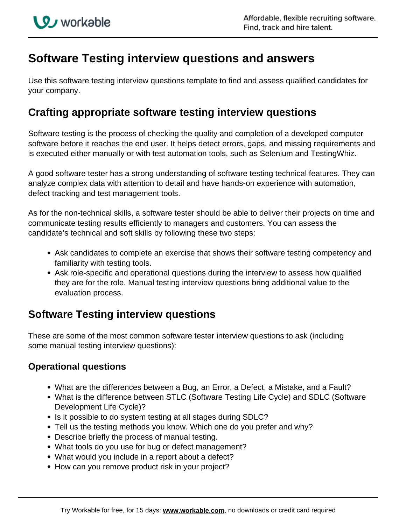# **Software Testing interview questions and answers**

Use this software testing interview questions template to find and assess qualified candidates for your company.

## **Crafting appropriate software testing interview questions**

Software testing is the process of checking the quality and completion of a developed computer software before it reaches the end user. It helps detect errors, gaps, and missing requirements and is executed either manually or with test automation tools, such as Selenium and TestingWhiz.

A good software tester has a strong understanding of software testing technical features. They can analyze complex data with attention to detail and have hands-on experience with automation, defect tracking and test management tools.

As for the non-technical skills, a software tester should be able to deliver their projects on time and communicate testing results efficiently to managers and customers. You can assess the candidate's technical and soft skills by following these two steps:

- Ask candidates to complete an exercise that shows their software testing competency and familiarity with testing tools.
- Ask role-specific and operational questions during the interview to assess how qualified they are for the role. Manual testing interview questions bring additional value to the evaluation process.

## **Software Testing interview questions**

These are some of the most common software tester interview questions to ask (including some manual testing interview questions):

### **Operational questions**

- What are the differences between a Bug, an Error, a Defect, a Mistake, and a Fault?
- What is the difference between STLC (Software Testing Life Cycle) and SDLC (Software Development Life Cycle)?
- Is it possible to do system testing at all stages during SDLC?
- Tell us the testing methods you know. Which one do you prefer and why?
- Describe briefly the process of manual testing.
- What tools do you use for bug or defect management?
- What would you include in a report about a defect?
- How can you remove product risk in your project?